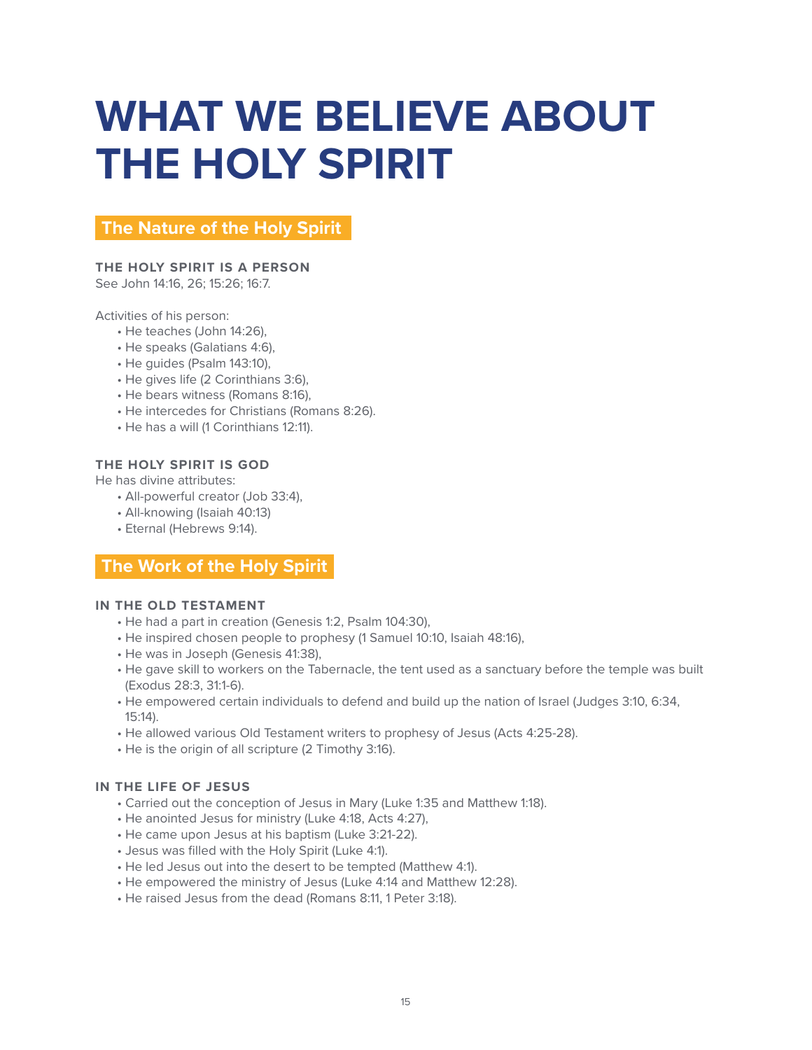# **WHAT WE BELIEVE ABOUT THE HOLY SPIRIT**

# **The Nature of the Holy Spirit**

## **THE HOLY SPIRIT IS A PERSON**

See John 14:16, 26; 15:26; 16:7.

Activities of his person:

- He teaches (John 14:26),
- He speaks (Galatians 4:6),
- He guides (Psalm 143:10),
- He gives life (2 Corinthians 3:6),
- He bears witness (Romans 8:16),
- He intercedes for Christians (Romans 8:26).
- He has a will (1 Corinthians 12:11).

#### **THE HOLY SPIRIT IS GOD**

He has divine attributes:

- All-powerful creator (Job 33:4),
- All-knowing (Isaiah 40:13)
- Eternal (Hebrews 9:14).

## **The Work of the Holy Spirit**

#### **IN THE OLD TESTAMENT**

- He had a part in creation (Genesis 1:2, Psalm 104:30),
- He inspired chosen people to prophesy (1 Samuel 10:10, Isaiah 48:16),
- He was in Joseph (Genesis 41:38),
- He gave skill to workers on the Tabernacle, the tent used as a sanctuary before the temple was built (Exodus 28:3, 31:1-6).
- He empowered certain individuals to defend and build up the nation of Israel (Judges 3:10, 6:34, 15:14).
- He allowed various Old Testament writers to prophesy of Jesus (Acts 4:25-28).
- He is the origin of all scripture (2 Timothy 3:16).

### **IN THE LIFE OF JESUS**

- Carried out the conception of Jesus in Mary (Luke 1:35 and Matthew 1:18).
- He anointed Jesus for ministry (Luke 4:18, Acts 4:27),
- He came upon Jesus at his baptism (Luke 3:21-22).
- Jesus was filled with the Holy Spirit (Luke 4:1).
- He led Jesus out into the desert to be tempted (Matthew 4:1).
- He empowered the ministry of Jesus (Luke 4:14 and Matthew 12:28).
- He raised Jesus from the dead (Romans 8:11, 1 Peter 3:18).